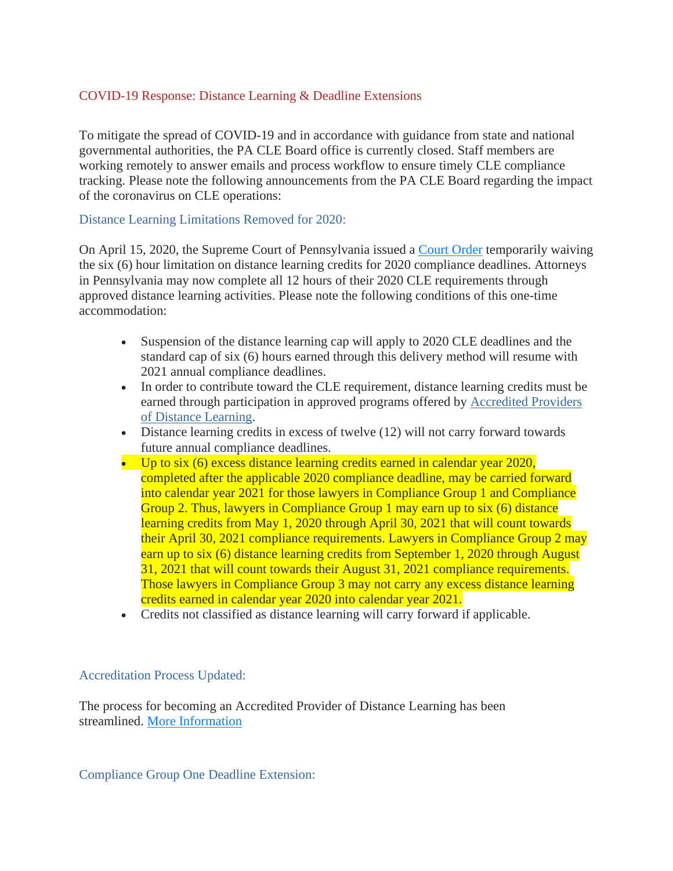## COVID-19 Response: Distance Learning & Deadline Extensions

To mitigate the spread of COVID-19 and in accordance with guidance from state and national governmental authorities, the PA CLE Board office is currently closed. Staff members are working remotely to answer emails and process workflow to ensure timely CLE compliance tracking. Please note the following announcements from the PA CLE Board regarding the impact of the coronavirus on CLE operations:

## Distance Learning Limitations Removed for 2020:

On April 15, 2020, the Supreme Court of Pennsylvania issued a [Court Order](http://www.pacourts.us/assets/opinions/Supreme/out/Order%20Entered%20-%2010439644899571598.pdf?cb=1) temporarily waiving the six (6) hour limitation on distance learning credits for 2020 compliance deadlines. Attorneys in Pennsylvania may now complete all 12 hours of their 2020 CLE requirements through approved distance learning activities. Please note the following conditions of this one-time accommodation:

- Suspension of the distance learning cap will apply to 2020 CLE deadlines and the standard cap of six (6) hours earned through this delivery method will resume with 2021 annual compliance deadlines.
- In order to contribute toward the CLE requirement, distance learning credits must be earned through participation in approved programs offered by [Accredited Providers](https://www.pacle.org/providers/distance-learning)  [of Distance Learning.](https://www.pacle.org/providers/distance-learning)
- Distance learning credits in excess of twelve (12) will not carry forward towards future annual compliance deadlines.
- Up to six (6) excess distance learning credits earned in calendar year 2020, completed after the applicable 2020 compliance deadline, may be carried forward into calendar year 2021 for those lawyers in Compliance Group 1 and Compliance Group 2. Thus, lawyers in Compliance Group 1 may earn up to six (6) distance learning credits from May 1, 2020 through April 30, 2021 that will count towards their April 30, 2021 compliance requirements. Lawyers in Compliance Group 2 may earn up to six (6) distance learning credits from September 1, 2020 through August 31, 2021 that will count towards their August 31, 2021 compliance requirements. Those lawyers in Compliance Group 3 may not carry any excess distance learning credits earned in calendar year 2020 into calendar year 2021.
- Credits not classified as distance learning will carry forward if applicable.

## Accreditation Process Updated:

The process for becoming an Accredited Provider of Distance Learning has been streamlined. [More Information](https://www.pacle.org/assets/pdfs/dist_learn_info.pdf)

Compliance Group One Deadline Extension: